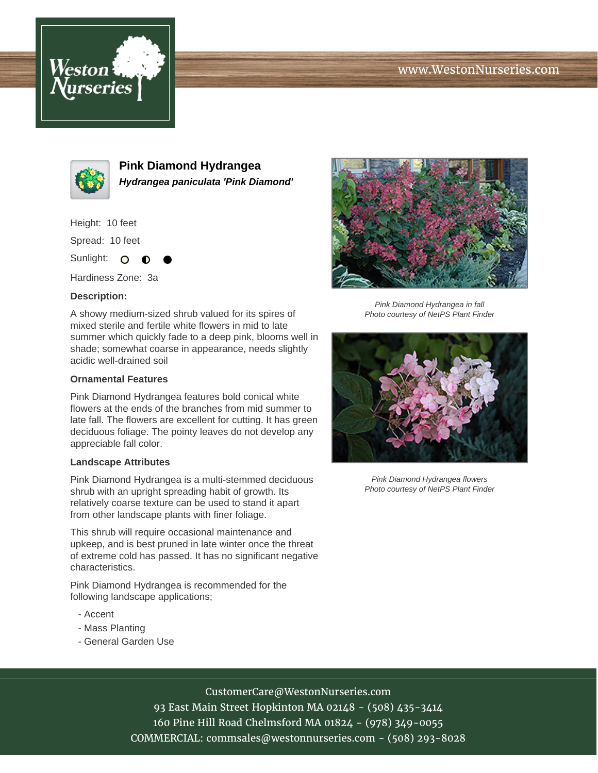# www.WestonNurseries.com





**Pink Diamond Hydrangea Hydrangea paniculata 'Pink Diamond'**

Height: 10 feet

Spread: 10 feet

Sunlight: O  $\bullet$ 

Hardiness Zone: 3a

### **Description:**

A showy medium-sized shrub valued for its spires of mixed sterile and fertile white flowers in mid to late summer which quickly fade to a deep pink, blooms well in shade; somewhat coarse in appearance, needs slightly acidic well-drained soil

#### **Ornamental Features**

Pink Diamond Hydrangea features bold conical white flowers at the ends of the branches from mid summer to late fall. The flowers are excellent for cutting. It has green deciduous foliage. The pointy leaves do not develop any appreciable fall color.

#### **Landscape Attributes**

Pink Diamond Hydrangea is a multi-stemmed deciduous shrub with an upright spreading habit of growth. Its relatively coarse texture can be used to stand it apart from other landscape plants with finer foliage.

This shrub will require occasional maintenance and upkeep, and is best pruned in late winter once the threat of extreme cold has passed. It has no significant negative characteristics.

Pink Diamond Hydrangea is recommended for the following landscape applications;

- Accent
- Mass Planting
- General Garden Use



Pink Diamond Hydrangea in fall Photo courtesy of NetPS Plant Finder



Pink Diamond Hydrangea flowers Photo courtesy of NetPS Plant Finder

## CustomerCare@WestonNurseries.com

93 East Main Street Hopkinton MA 02148 - (508) 435-3414 160 Pine Hill Road Chelmsford MA 01824 - (978) 349-0055 COMMERCIAL: commsales@westonnurseries.com - (508) 293-8028